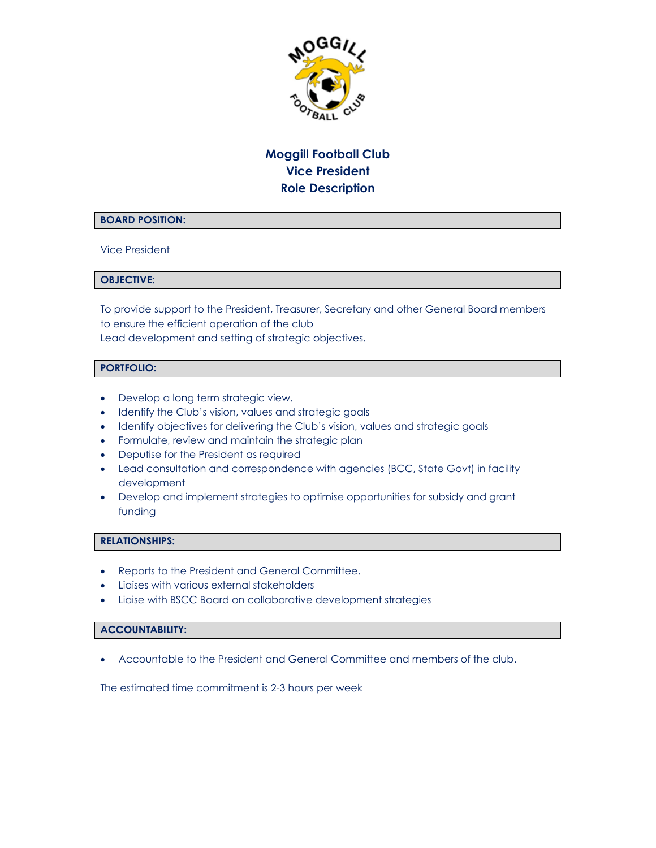

# **Moggill Football Club Vice President Role Description**

### **BOARD POSITION:**

Vice President

#### **OBJECTIVE:**

To provide support to the President, Treasurer, Secretary and other General Board members to ensure the efficient operation of the club Lead development and setting of strategic objectives.

# **PORTFOLIO:**

- Develop a long term strategic view.
- Identify the Club's vision, values and strategic goals
- Identify objectives for delivering the Club's vision, values and strategic goals
- Formulate, review and maintain the strategic plan
- Deputise for the President as required
- Lead consultation and correspondence with agencies (BCC, State Govt) in facility development
- Develop and implement strategies to optimise opportunities for subsidy and grant funding

#### **RELATIONSHIPS:**

- Reports to the President and General Committee.
- Liaises with various external stakeholders
- Liaise with BSCC Board on collaborative development strategies

#### **ACCOUNTABILITY:**

Accountable to the President and General Committee and members of the club.

The estimated time commitment is 2-3 hours per week